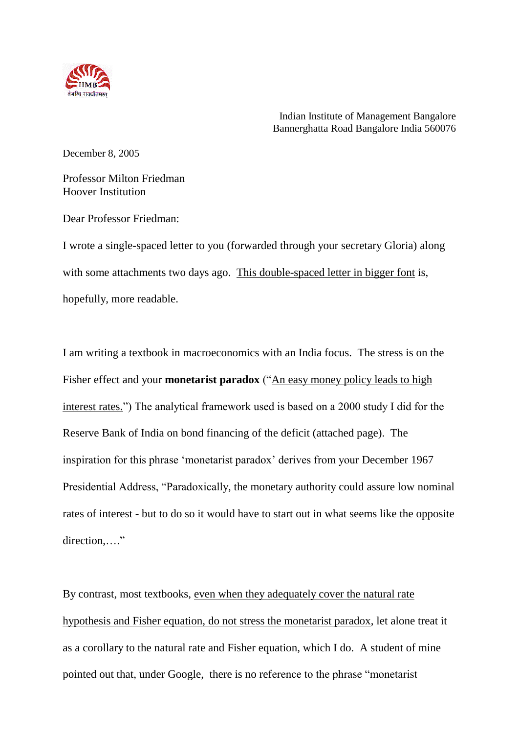

Indian Institute of Management Bangalore Bannerghatta Road Bangalore India 560076

December 8, 2005

Professor Milton Friedman Hoover Institution

Dear Professor Friedman:

I wrote a single-spaced letter to you (forwarded through your secretary Gloria) along with some attachments two days ago. This double-spaced letter in bigger font is, hopefully, more readable.

I am writing a textbook in macroeconomics with an India focus. The stress is on the Fisher effect and your **monetarist paradox** ("An easy money policy leads to high interest rates.") The analytical framework used is based on a 2000 study I did for the Reserve Bank of India on bond financing of the deficit (attached page). The inspiration for this phrase "monetarist paradox" derives from your December 1967 Presidential Address, "Paradoxically, the monetary authority could assure low nominal rates of interest - but to do so it would have to start out in what seems like the opposite direction...."

By contrast, most textbooks, even when they adequately cover the natural rate hypothesis and Fisher equation, do not stress the monetarist paradox, let alone treat it as a corollary to the natural rate and Fisher equation, which I do. A student of mine pointed out that, under Google, there is no reference to the phrase "monetarist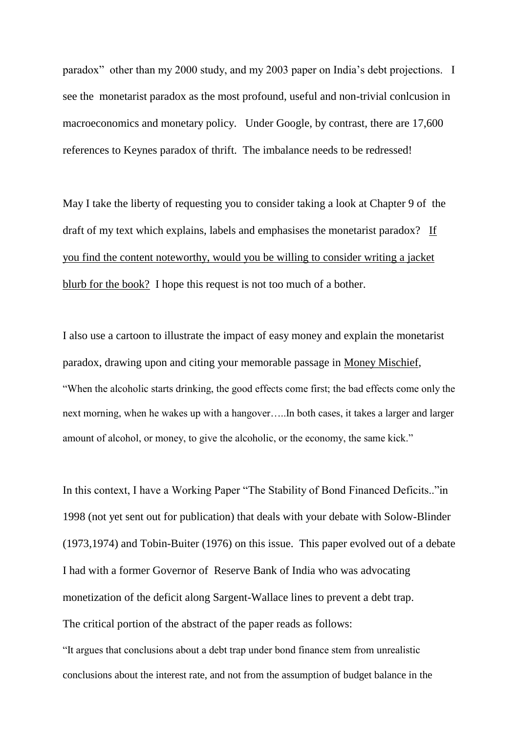paradox" other than my 2000 study, and my 2003 paper on India"s debt projections. I see the monetarist paradox as the most profound, useful and non-trivial conlcusion in macroeconomics and monetary policy. Under Google, by contrast, there are 17,600 references to Keynes paradox of thrift. The imbalance needs to be redressed!

May I take the liberty of requesting you to consider taking a look at Chapter 9 of the draft of my text which explains, labels and emphasises the monetarist paradox? If you find the content noteworthy, would you be willing to consider writing a jacket blurb for the book? I hope this request is not too much of a bother.

I also use a cartoon to illustrate the impact of easy money and explain the monetarist paradox, drawing upon and citing your memorable passage in Money Mischief, "When the alcoholic starts drinking, the good effects come first; the bad effects come only the next morning, when he wakes up with a hangover…..In both cases, it takes a larger and larger amount of alcohol, or money, to give the alcoholic, or the economy, the same kick."

In this context, I have a Working Paper "The Stability of Bond Financed Deficits.."in 1998 (not yet sent out for publication) that deals with your debate with Solow-Blinder (1973,1974) and Tobin-Buiter (1976) on this issue. This paper evolved out of a debate I had with a former Governor of Reserve Bank of India who was advocating monetization of the deficit along Sargent-Wallace lines to prevent a debt trap. The critical portion of the abstract of the paper reads as follows:

"It argues that conclusions about a debt trap under bond finance stem from unrealistic conclusions about the interest rate, and not from the assumption of budget balance in the